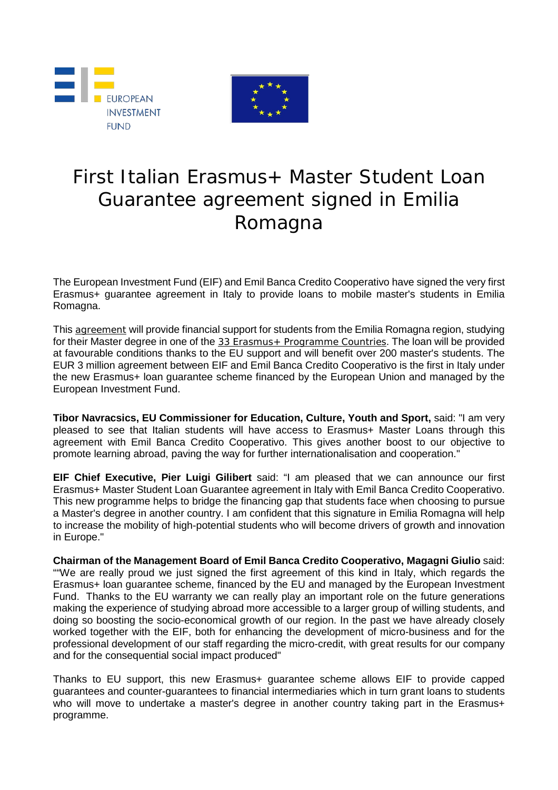



# First Italian Erasmus+ Master Student Loan Guarantee agreement signed in Emilia Romagna

The European Investment Fund (EIF) and Emil Banca Credito Cooperativo have signed the very first Erasmus+ guarantee agreement in Italy to provide loans to mobile master's students in Emilia Romagna.

This [agreement](http://www.eif.org/news_centre/index.htm) will provide financial support for students from the Emilia Romagna region, studying for their Master degree in one of the 33 Erasmus + Programme Countries. The loan will be provided at favourable conditions thanks to the EU support and will benefit over 200 master's students. The EUR 3 million agreement between EIF and Emil Banca Credito Cooperativo is the first in Italy under the new Erasmus+ loan guarantee scheme financed by the European Union and managed by the European Investment Fund.

**Tibor Navracsics, EU Commissioner for Education, Culture, Youth and Sport,** said: "I am very pleased to see that Italian students will have access to Erasmus+ Master Loans through this agreement with Emil Banca Credito Cooperativo. This gives another boost to our objective to promote learning abroad, paving the way for further internationalisation and cooperation."

**EIF Chief Executive, Pier Luigi Gilibert** said: "I am pleased that we can announce our first Erasmus+ Master Student Loan Guarantee agreement in Italy with Emil Banca Credito Cooperativo. This new programme helps to bridge the financing gap that students face when choosing to pursue a Master's degree in another country. I am confident that this signature in Emilia Romagna will help to increase the mobility of high-potential students who will become drivers of growth and innovation in Europe."

**Chairman of the Management Board of Emil Banca Credito Cooperativo, Magagni Giulio** said: ""We are really proud we just signed the first agreement of this kind in Italy, which regards the Erasmus+ loan guarantee scheme, financed by the EU and managed by the European Investment Fund. Thanks to the EU warranty we can really play an important role on the future generations making the experience of studying abroad more accessible to a larger group of willing students, and doing so boosting the socio-economical growth of our region. In the past we have already closely worked together with the EIF, both for enhancing the development of micro-business and for the professional development of our staff regarding the micro-credit, with great results for our company and for the consequential social impact produced"

Thanks to EU support, this new Erasmus+ guarantee scheme allows EIF to provide capped guarantees and counter-guarantees to financial intermediaries which in turn grant loans to students who will move to undertake a master's degree in another country taking part in the Erasmus+ programme.